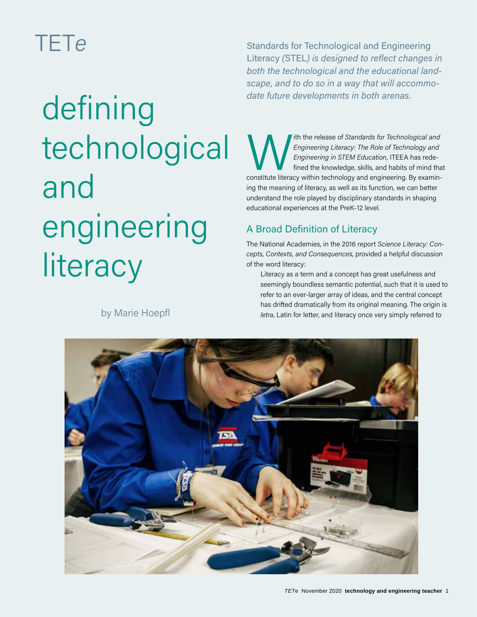# TET*e*

# date future developments in both arenas. technological and engineering **literacy**

by Marie Hoepfl

Standards for Technological and Engineering Literacy *(*STEL*) is designed to reflect changes in both the technological and the educational landscape, and to do so in a way that will accommo-*

Ith the release of *Standards for Technological and*<br> *Engineering Literacy: The Role of Technology and*<br> *Engineering in STEM Education*, ITEEA has rede-<br>
fined the knowledge, skills, and habits of mind tha<br>
constitute li *Engineering Literacy: The Role of Technology and Engineering in STEM Education*, ITEEA has redefined the knowledge, skills, and habits of mind that ing the meaning of literacy, as well as its function, we can better understand the role played by disciplinary standards in shaping educational experiences at the PreK-12 level.

# A Broad Definition of Literacy

The National Academies, in the 2016 report *Science Literacy: Concepts, Contexts, and Consequences*, provided a helpful discussion of the word literacy:

Literacy as a term and a concept has great usefulness and seemingly boundless semantic potential, such that it is used to refer to an ever-larger array of ideas, and the central concept has drifted dramatically from its original meaning. The origin is *letra*, Latin for letter, and literacy once very simply referred to

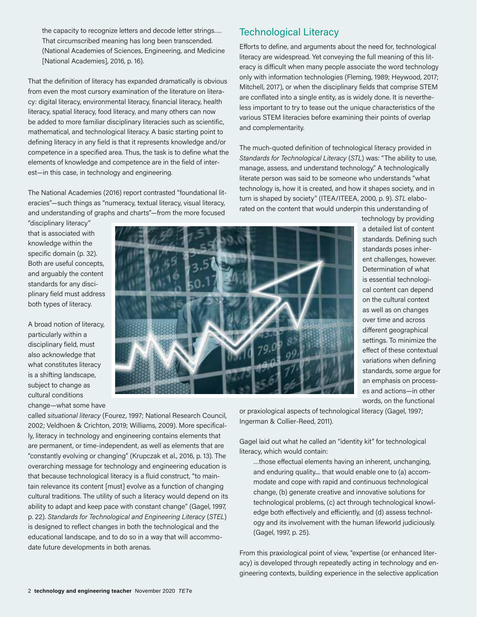the capacity to recognize letters and decode letter strings…. That circumscribed meaning has long been transcended. (National Academies of Sciences, Engineering, and Medicine [National Academies], 2016, p. 16).

That the definition of literacy has expanded dramatically is obvious from even the most cursory examination of the literature on literacy: digital literacy, environmental literacy, financial literacy, health literacy, spatial literacy, food literacy, and many others can now be added to more familiar disciplinary literacies such as scientific, mathematical, and technological literacy. A basic starting point to defining literacy in any field is that it represents knowledge and/or competence in a specified area. Thus, the task is to define what the elements of knowledge and competence are in the field of interest—in this case, in technology and engineering.

The National Academies (2016) report contrasted "foundational literacies"—such things as "numeracy, textual literacy, visual literacy, and understanding of graphs and charts"—from the more focused

"disciplinary literacy" that is associated with knowledge within the specific domain (p. 32). Both are useful concepts, and arguably the content standards for any disciplinary field must address both types of literacy.

A broad notion of literacy, particularly within a disciplinary field, must also acknowledge that what constitutes literacy is a shifting landscape, subject to change as cultural conditions change—what some have



Technological Literacy

Efforts to define, and arguments about the need for, technological literacy are widespread. Yet conveying the full meaning of this literacy is difficult when many people associate the word technology only with information technologies (Fleming, 1989; Heywood, 2017; Mitchell, 2017), or when the disciplinary fields that comprise STEM are conflated into a single entity, as is widely done. It is nevertheless important to try to tease out the unique characteristics of the various STEM literacies before examining their points of overlap and complementarity.

The much-quoted definition of technological literacy provided in *Standards for Technological Literacy* (*STL*) was: "The ability to use, manage, assess, and understand technology." A technologically literate person was said to be someone who understands "what technology is, how it is created, and how it shapes society, and in turn is shaped by society" (ITEA/ITEEA, 2000, p. 9). *STL* elaborated on the content that would underpin this understanding of

> technology by providing a detailed list of content standards. Defining such standards poses inherent challenges, however. Determination of what is essential technological content can depend on the cultural context as well as on changes over time and across different geographical settings. To minimize the effect of these contextual variations when defining standards, some argue for an emphasis on processes and actions—in other words, on the functional

called *situational literacy* (Fourez, 1997; National Research Council, 2002; Veldhoen & Crichton, 2019; Williams, 2009). More specifically, literacy in technology and engineering contains elements that are permanent, or time-independent, as well as elements that are "constantly evolving or changing" (Krupczak et al., 2016, p. 13). The overarching message for technology and engineering education is that because technological literacy is a fluid construct, "to maintain relevance its content [must] evolve as a function of changing cultural traditions. The utility of such a literacy would depend on its ability to adapt and keep pace with constant change" (Gagel, 1997, p. 22). *Standards for Technological and Engineering Literacy* (*STEL*) is designed to reflect changes in both the technological and the educational landscape, and to do so in a way that will accommodate future developments in both arenas.

or praxiological aspects of technological literacy (Gagel, 1997; Ingerman & Collier-Reed, 2011).

Gagel laid out what he called an "identity kit" for technological literacy, which would contain:

…those effectual elements having an inherent, unchanging, and enduring quality.... that would enable one to (a) accommodate and cope with rapid and continuous technological change, (b) generate creative and innovative solutions for technological problems, (c) act through technological knowledge both effectively and efficiently, and (d) assess technology and its involvement with the human lifeworld judiciously. (Gagel, 1997, p. 25).

From this praxiological point of view, "expertise (or enhanced literacy) is developed through repeatedly acting in technology and engineering contexts, building experience in the selective application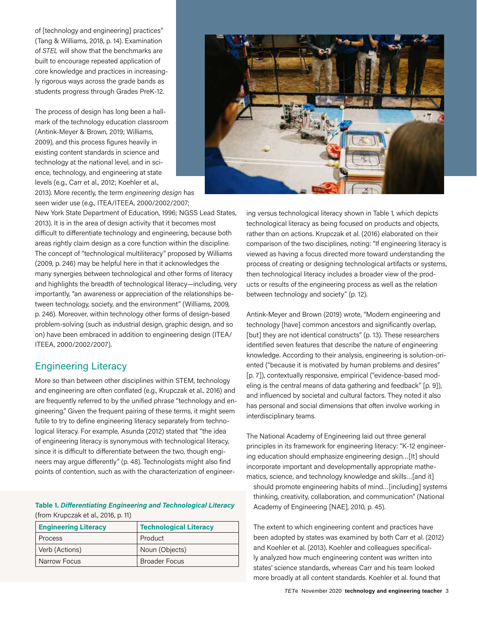of [technology and engineering] practices" (Tang & Williams, 2018, p. 14). Examination of *STEL* will show that the benchmarks are built to encourage repeated application of core knowledge and practices in increasingly rigorous ways across the grade bands as students progress through Grades PreK-12.

The process of design has long been a hallmark of the technology education classroom (Antink-Meyer & Brown, 2019; Williams, 2009), and this process figures heavily in existing content standards in science and technology at the national level, and in science, technology, and engineering at state levels (e.g., Carr et al., 2012; Koehler et al.,

2013). More recently, the term *engineering design* has seen wider use (e.g., ITEA/ITEEA, 2000/2002/2007;

New York State Department of Education, 1996; NGSS Lead States, 2013). It is in the area of design activity that it becomes most difficult to differentiate technology and engineering, because both areas rightly claim design as a core function within the discipline. The concept of "technological multiliteracy" proposed by Williams (2009, p. 246) may be helpful here in that it acknowledges the many synergies between technological and other forms of literacy and highlights the breadth of technological literacy—including, very importantly, "an awareness or appreciation of the relationships between technology, society, and the environment" (Williams, 2009, p. 246). Moreover, within technology other forms of design-based problem-solving (such as industrial design, graphic design, and so on) have been embraced in addition to engineering design (ITEA/ ITEEA, 2000/2002/2007).

# Engineering Literacy

More so than between other disciplines within STEM, technology and engineering are often conflated (e.g., Krupczak et al., 2016) and are frequently referred to by the unified phrase "technology and engineering." Given the frequent pairing of these terms, it might seem futile to try to define engineering literacy separately from technological literacy. For example, Asunda (2012) stated that "the idea of engineering literacy is synonymous with technological literacy, since it is difficult to differentiate between the two, though engineers may argue differently" (p. 48). Technologists might also find points of contention, such as with the characterization of engineer-

#### **Table 1.** *Differentiating Engineering and Technological Literacy* (from Krupczak et al., 2016, p. 11)

| <b>Engineering Literacy</b> | <b>Technological Literacy</b> |
|-----------------------------|-------------------------------|
| Process                     | Product                       |
| Verb (Actions)              | Noun (Objects)                |
| Narrow Focus                | <b>Broader Focus</b>          |



ing versus technological literacy shown in Table 1, which depicts technological literacy as being focused on products and objects, rather than on actions. Krupczak et al. (2016) elaborated on their comparison of the two disciplines, noting: "If engineering literacy is viewed as having a focus directed more toward understanding the process of creating or designing technological artifacts or systems, then technological literacy includes a broader view of the products or results of the engineering process as well as the relation between technology and society" (p. 12).

Antink-Meyer and Brown (2019) wrote, "Modern engineering and technology [have] common ancestors and significantly overlap, [but] they are not identical constructs" (p. 13). These researchers identified seven features that describe the nature of engineering knowledge. According to their analysis, engineering is solution-oriented ("because it is motivated by human problems and desires" [p. 7]), contextually responsive, empirical ("evidence-based modeling is the central means of data gathering and feedback" [p. 9]), and influenced by societal and cultural factors. They noted it also has personal and social dimensions that often involve working in interdisciplinary teams.

The National Academy of Engineering laid out three general principles in its framework for engineering literacy: "K-12 engineering education should emphasize engineering design…[It] should incorporate important and developmentally appropriate mathematics, science, and technology knowledge and skills...[and it]

should promote engineering habits of mind…[including] systems thinking, creativity, collaboration, and communication" (National Academy of Engineering [NAE], 2010, p. 45).

The extent to which engineering content and practices have been adopted by states was examined by both Carr et al. (2012) and Koehler et al. (2013). Koehler and colleagues specifically analyzed how much engineering content was written into states' science standards, whereas Carr and his team looked more broadly at all content standards. Koehler et al. found that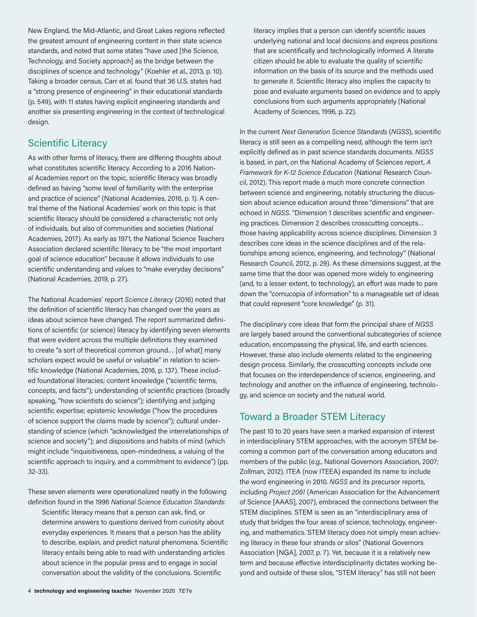New England, the Mid-Atlantic, and Great Lakes regions reflected the greatest amount of engineering content in their state science standards, and noted that some states "have used [the Science, Technology, and Society approach] as the bridge between the disciplines of science and technology" (Koehler et al., 2013, p. 10). Taking a broader census, Carr et al. found that 36 U.S. states had a "strong presence of engineering" in their educational standards (p. 549), with 11 states having explicit engineering standards and another six presenting engineering in the context of technological design.

# Scientific Literacy

As with other forms of literacy, there are differing thoughts about what constitutes scientific literacy. According to a 2016 National Academies report on the topic, scientific literacy was broadly defined as having "some level of familiarity with the enterprise and practice of science" (National Academies, 2016, p. 1). A central theme of the National Academies' work on this topic is that scientific literacy should be considered a characteristic not only of individuals, but also of communities and societies (National Academies, 2017). As early as 1971, the National Science Teachers Association declared scientific literacy to be "the most important goal of science education" because it allows individuals to use scientific understanding and values to "make everyday decisions" (National Academies, 2019, p. 27).

The National Academies' report *Science Literacy* (2016) noted that the definition of scientific literacy has changed over the years as ideas about science have changed. The report summarized definitions of scientific (or science) literacy by identifying seven elements that were evident across the multiple definitions they examined to create "a sort of theoretical common ground… [of what] many scholars expect would be useful or valuable" in relation to scientific knowledge (National Academies, 2016, p. 137). These included foundational literacies; content knowledge ("scientific terms, concepts, and facts"); understanding of scientific practices (broadly speaking, "how scientists do science"); identifying and judging scientific expertise; epistemic knowledge ("how the procedures of science support the claims made by science"); cultural understanding of science (which "acknowledged the interrelationships of science and society"); and dispositions and habits of mind (which might include "inquisitiveness, open-mindedness, a valuing of the scientific approach to inquiry, and a commitment to evidence") (pp. 32-33).

These seven elements were operationalized neatly in the following definition found in the 1996 *National Science Education Standards*:

Scientific literacy means that a person can ask, find, or determine answers to questions derived from curiosity about everyday experiences. It means that a person has the ability to describe, explain, and predict natural phenomena. Scientific literacy entails being able to read with understanding articles about science in the popular press and to engage in social conversation about the validity of the conclusions. Scientific

literacy implies that a person can identify scientific issues underlying national and local decisions and express positions that are scientifically and technologically informed. A literate citizen should be able to evaluate the quality of scientific information on the basis of its source and the methods used to generate it. Scientific literacy also implies the capacity to pose and evaluate arguments based on evidence and to apply conclusions from such arguments appropriately (National Academy of Sciences, 1996, p. 22).

In the current *Next Generation Science Standards* (*NGSS*), scientific literacy is still seen as a compelling need, although the term isn't explicitly defined as in past science standards documents. *NGSS* is based, in part, on the National Academy of Sciences report, *A Framework for K-12 Science Education* (National Research Council, 2012). This report made a much more concrete connection between science and engineering, notably structuring the discussion about science education around three "dimensions" that are echoed in *NGSS*. "Dimension 1 describes scientific and engineering practices. Dimension 2 describes crosscutting concepts… those having applicability across science disciplines. Dimension 3 describes core ideas in the science disciplines and of the relationships among science, engineering, and technology" (National Research Council, 2012, p. 29). As these dimensions suggest, at the same time that the door was opened more widely to engineering (and, to a lesser extent, to technology), an effort was made to pare down the "cornucopia of information" to a manageable set of ideas that could represent "core knowledge" (p. 31).

The disciplinary core ideas that form the principal share of *NGSS* are largely based around the conventional subcategories of science education, encompassing the physical, life, and earth sciences. However, these also include elements related to the engineering design process. Similarly, the crosscutting concepts include one that focuses on the interdependence of science, engineering, and technology and another on the influence of engineering, technology, and science on society and the natural world.

# Toward a Broader STEM Literacy

The past 10 to 20 years have seen a marked expansion of interest in interdisciplinary STEM approaches, with the acronym STEM becoming a common part of the conversation among educators and members of the public (e.g., National Governors Association, 2007; Zollman, 2012). ITEA (now ITEEA) expanded its name to include the word engineering in 2010. *NGSS* and its precursor reports, including *Project 2061* (American Association for the Advancement of Science [AAAS], 2007), embraced the connections between the STEM disciplines. STEM is seen as an "interdisciplinary area of study that bridges the four areas of science, technology, engineering, and mathematics. STEM literacy does not simply mean achieving literacy in these four strands or silos" (National Governors Association [NGA], 2007, p. 7). Yet, because it is a relatively new term and because effective interdisciplinarity dictates working beyond and outside of these silos, "STEM literacy" has still not been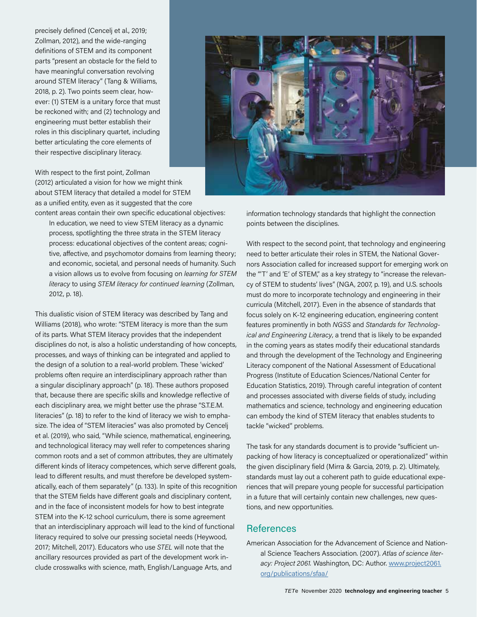precisely defined (Cencelj et al., 2019; Zollman, 2012), and the wide-ranging definitions of STEM and its component parts "present an obstacle for the field to have meaningful conversation revolving around STEM literacy" (Tang & Williams, 2018, p. 2). Two points seem clear, however: (1) STEM is a unitary force that must be reckoned with; and (2) technology and engineering must better establish their roles in this disciplinary quartet, including better articulating the core elements of their respective disciplinary literacy.



With respect to the first point, Zollman (2012) articulated a vision for how we might think about STEM literacy that detailed a model for STEM as a unified entity, even as it suggested that the core

content areas contain their own specific educational objectives: In education, we need to view STEM literacy as a dynamic process, spotlighting the three strata in the STEM literacy process: educational objectives of the content areas; cognitive, affective, and psychomotor domains from learning theory; and economic, societal, and personal needs of humanity. Such a vision allows us to evolve from focusing on *learning for STEM literacy* to using *STEM literacy for continued learning* (Zollman, 2012, p. 18).

This dualistic vision of STEM literacy was described by Tang and Williams (2018), who wrote: "STEM literacy is more than the sum of its parts. What STEM literacy provides that the independent disciplines do not, is also a holistic understanding of how concepts, processes, and ways of thinking can be integrated and applied to the design of a solution to a real-world problem. These 'wicked' problems often require an interdisciplinary approach rather than a singular disciplinary approach" (p. 18). These authors proposed that, because there are specific skills and knowledge reflective of each disciplinary area, we might better use the phrase "S.T.E.M. literacies" (p. 18) to refer to the kind of literacy we wish to emphasize. The idea of "STEM literacies" was also promoted by Cencelj et al. (2019), who said, "While science, mathematical, engineering, and technological literacy may well refer to competences sharing common roots and a set of common attributes, they are ultimately different kinds of literacy competences, which serve different goals, lead to different results, and must therefore be developed systematically, each of them separately" (p. 133). In spite of this recognition that the STEM fields have different goals and disciplinary content, and in the face of inconsistent models for how to best integrate STEM into the K-12 school curriculum, there is some agreement that an interdisciplinary approach will lead to the kind of functional literacy required to solve our pressing societal needs (Heywood, 2017; Mitchell, 2017). Educators who use *STEL* will note that the ancillary resources provided as part of the development work include crosswalks with science, math, English/Language Arts, and

information technology standards that highlight the connection points between the disciplines.

With respect to the second point, that technology and engineering need to better articulate their roles in STEM, the National Governors Association called for increased support for emerging work on the "'T' and 'E' of STEM," as a key strategy to "increase the relevancy of STEM to students' lives" (NGA, 2007, p. 19), and U.S. schools must do more to incorporate technology and engineering in their curricula (Mitchell, 2017). Even in the absence of standards that focus solely on K-12 engineering education, engineering content features prominently in both *NGSS* and *Standards for Technological and Engineering Literacy*, a trend that is likely to be expanded in the coming years as states modify their educational standards and through the development of the Technology and Engineering Literacy component of the National Assessment of Educational Progress (Institute of Education Sciences/National Center for Education Statistics, 2019). Through careful integration of content and processes associated with diverse fields of study, including mathematics and science, technology and engineering education can embody the kind of STEM literacy that enables students to tackle "wicked" problems.

The task for any standards document is to provide "sufficient unpacking of how literacy is conceptualized or operationalized" within the given disciplinary field (Mirra & Garcia, 2019, p. 2). Ultimately, standards must lay out a coherent path to guide educational experiences that will prepare young people for successful participation in a future that will certainly contain new challenges, new questions, and new opportunities.

### References

American Association for the Advancement of Science and National Science Teachers Association. (2007). *Atlas of science literacy: Project 2061.* Washington, DC: Author. [www.project2061.](http://www.project2061.org/publications/sfaa/) [org/publications/sfaa/](http://www.project2061.org/publications/sfaa/)